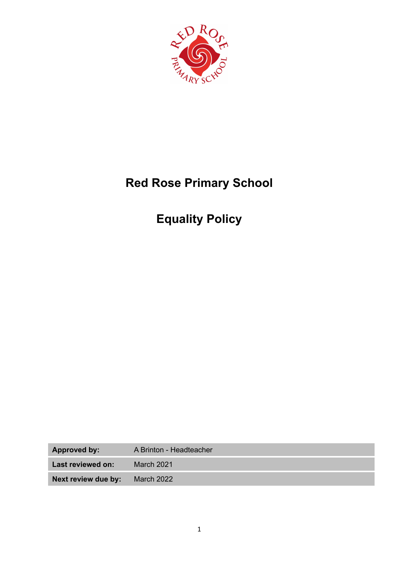

# **Red Rose Primary School**

# **Equality Policy**

| <b>Approved by:</b> | A Brinton - Headteacher |
|---------------------|-------------------------|
| Last reviewed on:   | <b>March 2021</b>       |
| Next review due by: | <b>March 2022</b>       |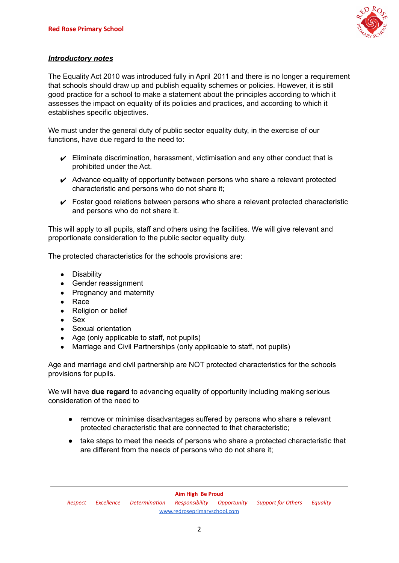

# *Introductory notes*

The Equality Act 2010 was introduced fully in April 2011 and there is no longer a requirement that schools should draw up and publish equality schemes or policies. However, it is still good practice for a school to make a statement about the principles according to which it assesses the impact on equality of its policies and practices, and according to which it establishes specific objectives.

We must under the general duty of public sector equality duty, in the exercise of our functions, have due regard to the need to:

- $\triangleright$  Eliminate discrimination, harassment, victimisation and any other conduct that is prohibited under the Act.
- $\triangleright$  Advance equality of opportunity between persons who share a relevant protected characteristic and persons who do not share it;
- $\triangleright$  Foster good relations between persons who share a relevant protected characteristic and persons who do not share it.

This will apply to all pupils, staff and others using the facilities. We will give relevant and proportionate consideration to the public sector equality duty.

The protected characteristics for the schools provisions are:

- Disability
- Gender reassignment
- Pregnancy and maternity
- Race
- Religion or belief
- Sex
- Sexual orientation
- Age (only applicable to staff, not pupils)
- Marriage and Civil Partnerships (only applicable to staff, not pupils)

Age and marriage and civil partnership are NOT protected characteristics for the schools provisions for pupils.

We will have **due regard** to advancing equality of opportunity including making serious consideration of the need to

- remove or minimise disadvantages suffered by persons who share a relevant protected characteristic that are connected to that characteristic;
- take steps to meet the needs of persons who share a protected characteristic that are different from the needs of persons who do not share it;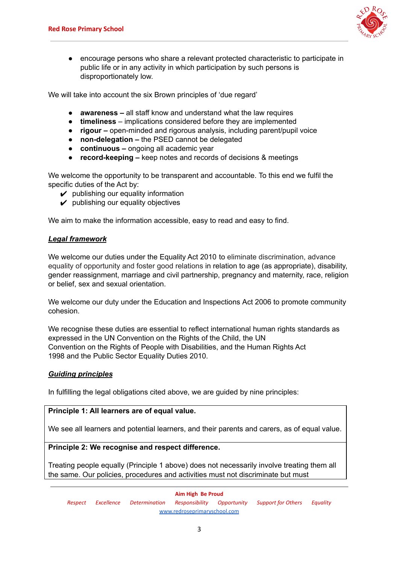

encourage persons who share a relevant protected characteristic to participate in public life or in any activity in which participation by such persons is disproportionately low.

We will take into account the six Brown principles of 'due regard'

- **● awareness –** all staff know and understand what the law requires
- **● timeliness** implications considered before they are implemented
- **● rigour –** open-minded and rigorous analysis, including parent/pupil voice
- **● non-delegation –** the PSED cannot be delegated
- **● continuous –** ongoing all academic year
- **● record-keeping –** keep notes and records of decisions & meetings

We welcome the opportunity to be transparent and accountable. To this end we fulfil the specific duties of the Act by:

- $\boldsymbol{\nu}$  publishing our equality information
- $\boldsymbol{\nu}$  publishing our equality objectives

We aim to make the information accessible, easy to read and easy to find.

#### *Legal framework*

We welcome our duties under the Equality Act 2010 to eliminate discrimination, advance equality of opportunity and foster good relations in relation to age (as appropriate), disability, gender reassignment, marriage and civil partnership, pregnancy and maternity, race, religion or belief, sex and sexual orientation.

We welcome our duty under the Education and Inspections Act 2006 to promote community cohesion.

We recognise these duties are essential to reflect international human rights standards as expressed in the UN Convention on the Rights of the Child, the UN Convention on the Rights of People with Disabilities, and the Human Rights Act 1998 and the Public Sector Equality Duties 2010.

#### *Guiding principles*

In fulfilling the legal obligations cited above, we are guided by nine principles:

#### **Principle 1: All learners are of equal value.**

We see all learners and potential learners, and their parents and carers, as of equal value.

#### **Principle 2: We recognise and respect difference.**

Treating people equally (Principle 1 above) does not necessarily involve treating them all the same. Our policies, procedures and activities must not discriminate but must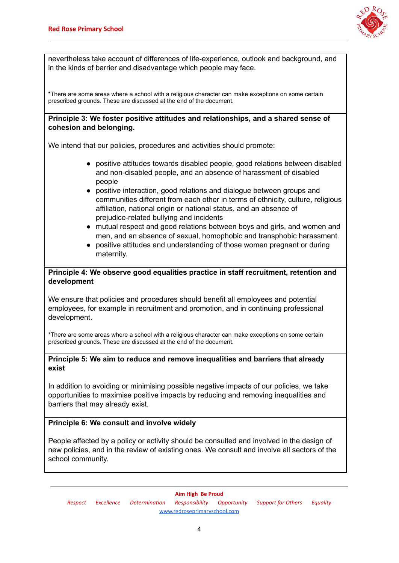

nevertheless take account of differences of life-experience, outlook and background, and in the kinds of barrier and disadvantage which people may face.

\*There are some areas where a school with a religious character can make exceptions on some certain prescribed grounds. These are discussed at the end of the document.

## **Principle 3: We foster positive attitudes and relationships, and a shared sense of cohesion and belonging.**

We intend that our policies, procedures and activities should promote:

- positive attitudes towards disabled people, good relations between disabled and non-disabled people, and an absence of harassment of disabled people
- positive interaction, good relations and dialogue between groups and communities different from each other in terms of ethnicity, culture, religious affiliation, national origin or national status, and an absence of prejudice-related bullying and incidents
- mutual respect and good relations between boys and girls, and women and men, and an absence of sexual, homophobic and transphobic harassment.
- positive attitudes and understanding of those women pregnant or during maternity.

# **Principle 4: We observe good equalities practice in staff recruitment, retention and development**

We ensure that policies and procedures should benefit all employees and potential employees, for example in recruitment and promotion, and in continuing professional development.

\*There are some areas where a school with a religious character can make exceptions on some certain prescribed grounds. These are discussed at the end of the document.

#### **Principle 5: We aim to reduce and remove inequalities and barriers that already exist**

In addition to avoiding or minimising possible negative impacts of our policies, we take opportunities to maximise positive impacts by reducing and removing inequalities and barriers that may already exist.

#### **Principle 6: We consult and involve widely**

People affected by a policy or activity should be consulted and involved in the design of new policies, and in the review of existing ones. We consult and involve all sectors of the school community.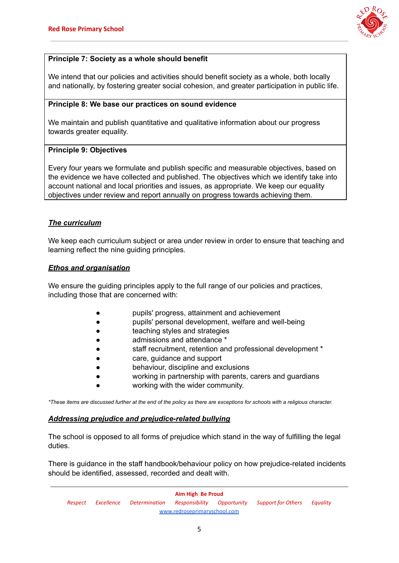

# **Principle 7: Society as a whole should benefit**

We intend that our policies and activities should benefit society as a whole, both locally and nationally, by fostering greater social cohesion, and greater participation in public life.

## **Principle 8: We base our practices on sound evidence**

We maintain and publish quantitative and qualitative information about our progress towards greater equality.

#### **Principle 9: Objectives**

Every four years we formulate and publish specific and measurable objectives, based on the evidence we have collected and published. The objectives which we identify take into account national and local priorities and issues, as appropriate. We keep our equality objectives under review and report annually on progress towards achieving them.

#### *The curriculum*

We keep each curriculum subject or area under review in order to ensure that teaching and learning reflect the nine guiding principles.

# *Ethos and organisation*

We ensure the guiding principles apply to the full range of our policies and practices, including those that are concerned with:

- pupils' progress, attainment and achievement
- pupils' personal development, welfare and well-being
- teaching styles and strategies
- admissions and attendance \*
- staff recruitment, retention and professional development \*
- care, guidance and support
- behaviour, discipline and exclusions
- working in partnership with parents, carers and guardians
- working with the wider community.

\*These items are discussed further at the end of the policy as there are exceptions for schools with a religious character.

#### *Addressing prejudice and prejudice-related bullying*

The school is opposed to all forms of prejudice which stand in the way of fulfilling the legal duties.

There is guidance in the staff handbook/behaviour policy on how prejudice-related incidents should be identified, assessed, recorded and dealt with.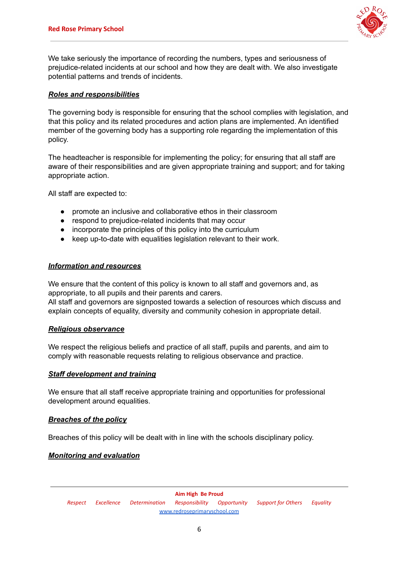

We take seriously the importance of recording the numbers, types and seriousness of prejudice-related incidents at our school and how they are dealt with. We also investigate potential patterns and trends of incidents.

#### *Roles and responsibilities*

The governing body is responsible for ensuring that the school complies with legislation, and that this policy and its related procedures and action plans are implemented. An identified member of the governing body has a supporting role regarding the implementation of this policy.

The headteacher is responsible for implementing the policy; for ensuring that all staff are aware of their responsibilities and are given appropriate training and support; and for taking appropriate action.

All staff are expected to:

- promote an inclusive and collaborative ethos in their classroom
- respond to prejudice-related incidents that may occur
- incorporate the principles of this policy into the curriculum
- keep up-to-date with equalities legislation relevant to their work.

#### *Information and resources*

We ensure that the content of this policy is known to all staff and governors and, as appropriate, to all pupils and their parents and carers.

All staff and governors are signposted towards a selection of resources which discuss and explain concepts of equality, diversity and community cohesion in appropriate detail.

#### *Religious observance*

We respect the religious beliefs and practice of all staff, pupils and parents, and aim to comply with reasonable requests relating to religious observance and practice.

#### *Staff development and training*

We ensure that all staff receive appropriate training and opportunities for professional development around equalities.

#### *Breaches of the policy*

Breaches of this policy will be dealt with in line with the schools disciplinary policy.

#### *Monitoring and evaluation*